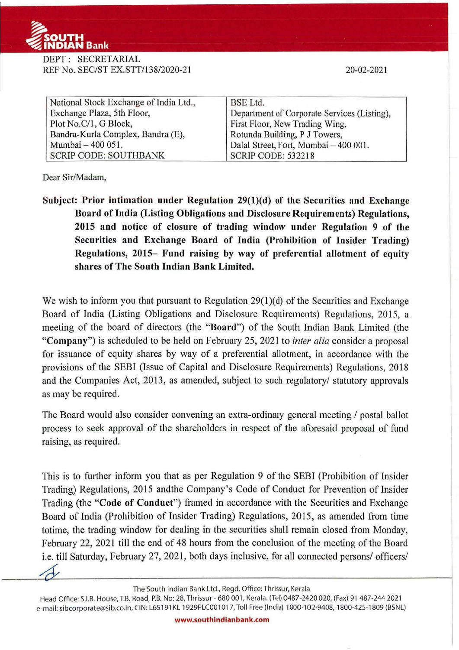

DEPT: SECRETARIAL REF No. SEC/ST EX.STT/138/2020-21

20-02-2021

| National Stock Exchange of India Ltd., | <b>BSE</b> Ltd.                             |
|----------------------------------------|---------------------------------------------|
| Exchange Plaza, 5th Floor,             | Department of Corporate Services (Listing), |
| Plot No.C/1, G Block,                  | First Floor, New Trading Wing,              |
| Bandra-Kurla Complex, Bandra (E),      | Rotunda Building, P J Towers,               |
| Mumbai - 400 051.                      | Dalal Street, Fort, Mumbai - 400 001.       |
| <b>SCRIP CODE: SOUTHBANK</b>           | <b>SCRIP CODE: 532218</b>                   |

Dear Sir/Madam,

Subject: Prior intimation under Regulation 29(1)(d) of the Securities and Exchange Board of India (Listing Obligations and Disclosure Requirements) Regulations, 2015 and notice of closure of trading window under Regulation 9 of the Securities and Exchange Board of India (Prohibition of Insider Trading) Regulations, 2015- Fund raising by way of preferential allotment of equity shares of The South Indian Bank Limited.

We wish to inform you that pursuant to Regulation 29(1)(d) of the Securities and Exchange Board of India (Listing Obligations and Disclosure Requirements) Regulations, 2015, a meeting of the board of directors (the "Board") of the South Indian Bank Limited (the "Company") is scheduled to be held on February 25, 2021 to *inter alia* consider a proposal for issuance of equity shares by way of a preferential allotment, in accordance with the provisions of the SEBI (Issue of Capital and Disclosure Requirements) Regulations, 2018 and the Companies Act, 2013, as amended, subject to such regulatory/ statutory approvals as may be required.

The Board would also consider convening an extra-ordinary general meeting / postal ballot process to seek approval of the shareholders in respect of the aforesaid proposal of fund raising, as required.

This is to further inform you that as per Regulation 9 of the SEBI (Prohibition of Insider Trading) Regulations, 2015 andthe Company's Code of Conduct for Prevention of Insider Trading (the "Code of Conduct") framed in accordance with the Securities and Exchange Board of India (Prohibition of Insider Trading) Regulations, 2015, as amended from time totime, the trading window for dealing in the securities shall remain closed from Monday, February 22, 2021 till the end of 48 hours from the conclusion of the meeting of the Board i.e. till Saturday, February 27, 2021, both days inclusive, for all connected persons/ officers/

The South Indian Bank Ltd., Regd. Office: Thrissur, Kerala

Head Office: S.I.B. House, T.B. Road, P.B. No: 28, Thrissur - 680 001, Kerala. (Tel) 0487-2420 020, (Fax) 91 487-244 2021 e-mail: sibcorporate@sib.co.in, CIN: L65191KL 1929PLC001017, Toll Free (India) 1800-102-9408, 1800-425-1809 (BSNL)